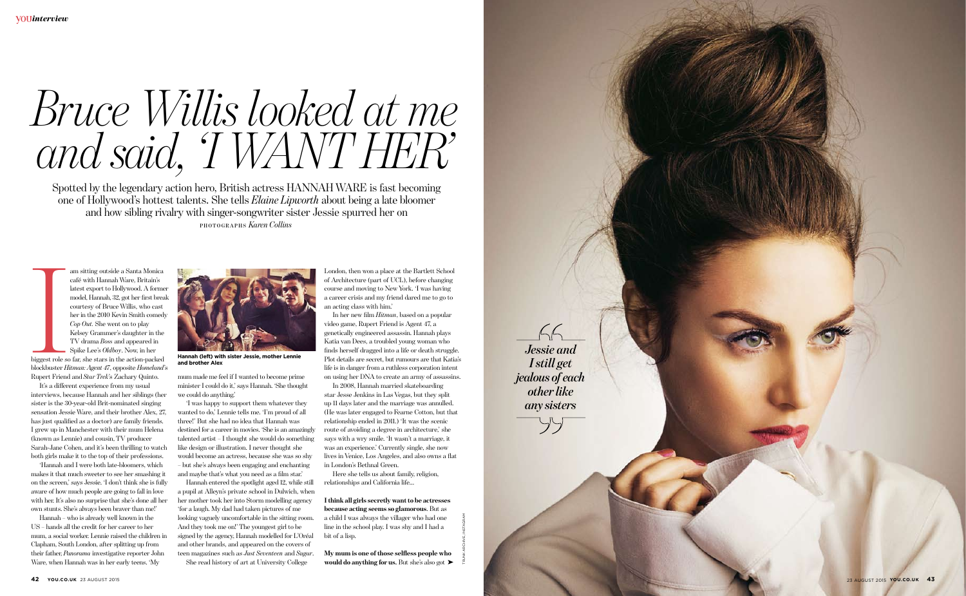Spotted by the legendary action hero, British actress HANNAH WARE is fast becoming one of Hollywood's hottest talents. She tells *Elaine Lipworth* about being a late bloomer and how sibling rivalry with singer-songwriter sister Jessie spurred her on **PHOTOGRA PHS** *Karen Collins*

# *Bruce Willis looked at me and said, 'I WANT HER '*

**International Structure Control**<br>Bilggest role<br>Bunert Frien am sitting outside a Santa Monica café with Hannah Ware, Britain's latest export to Hollywood. A former model, Hannah, 32, got her first break courtesy of Bruce Willis, who cast her in the 2010 Kevin Smith comedy *Cop Out.* She went on to play Kelsey Grammer's daughter in the TV drama *Boss* and appeared in Spike Lee's *Oldboy*. Now, in her biggest role so far, she stars in the action-packed blockbuster *Hitman: Agent 47*, opposite *Homeland*'s

Rupert Friend and *Star Trek*'s Zachary Quinto. It's a di ferent experience from my usual interviews, because Hannah and her siblings (her sister is the 30-year-old Brit-nominated singing sensation Jessie Ware, and their brother Alex, 27, has just qualified as a doctor) are family friends. I grew up in Manchester with their mum Helena (known as Lennie) and cousin, TV producer Sarah-Jane Cohen, and it's been thrilling to watch both girls make it to the top of their professions.

'Hannah and I were both late-bloomers, which makes it that much sweeter to see her smashing it on the screen,' says Jessie. 'I don't think she is fully aware of how much people are going to fall in love with her. It's also no surprise that she's done all her own stunts. She's always been braver than me!'

Hannah – who is already well known in the US – hands all the credit for her career to her mum, a social worker. Lennie raised the children in Clapham, South London, after splitting up from their father, *Panorama* investigative reporter John Ware, when Hannah was in her early teens. 'My

mum made me feel if I wanted to become prime minister I could do it,' says Hannah. 'She thought we could do anything.'

> would do anything for us. But she's also got  $\blacktriangleright$ **My mum is one of those selfless people who**

'I was happy to support them whatever they wanted to do,' Lennie tells me. 'I'm proud of all three!' But she had no idea that Hannah was destined for a career in movies. 'She is an amazingly talented artist – I thought she would do something like design or illustration. I never thought she would become an actress, because she was so shy – but she's always been engaging and enchanting and maybe that's what you need as a film star.'

Hannah entered the spotlight aged 12, while still a pupil at Alleyn's private school in Dulwich, when her mother took her into Storm modelling agency 'for a laugh. My dad had taken pictures of me looking vaguely uncomfortable in the sitting room. And they took me on!' The youngest girl to be signed by the agency, Hannah modelled for L'Oréal and other brands, and appeared on the covers of

teen magazines such as *Just Seventeen* and *Sugar*. She read history of art at University College

London, then won a place at the Bartlett School of Architecture (part of UCL), before changing course and moving to New York. 'I was having a career crisis and my friend dared me to go to an acting class with him.'

In her new film *Hitman*, based on a popular video game, Rupert Friend is Agent 47, a genetically engineered assassin. Hannah plays Katia van Dees, a troubled young woman who finds herself dragged into a life or death struggle. Plot details are secret, but rumours are that Katia's life is in danger from a ruthless corporation intent on using her DNA to create an army of assassins.

In 2008, Hannah married skateboarding star Jesse Jenkins in Las Vegas, but they split up 11 days later and the marriage was annulled. (He was later engaged to Fearne Cotton, but that relationship ended in 2011.) 'It was the scenic route of avoiding a degree in architecture,' she says with a wry smile. 'It wasn't a marriage, it was an experience.' Currently single, she now lives in Venice, Los Angeles, and also owns a flat in London's Bethnal Green.

Here she tells us about family, religion, relationships and California life…

**I think all girls secretly want to be actresses because acting seems so glamorous**. But as a child I was always the villager who had one line in the school play. I was shy and I had a bit of a lisp.

TRUNK ARCHIVE, INSTAGRAM



**Hannah (left) with sister Jessie, mother Lennie and brother Alex**



 $Y$